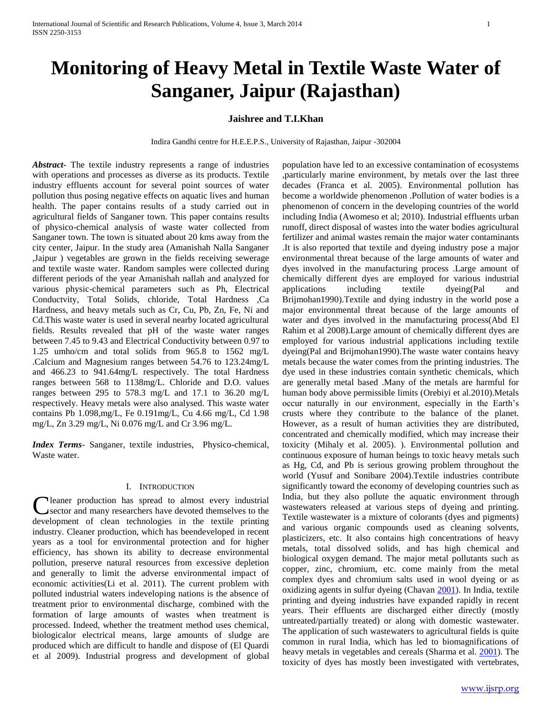# **Monitoring of Heavy Metal in Textile Waste Water of Sanganer, Jaipur (Rajasthan)**

# **Jaishree and T.I.Khan**

Indira Gandhi centre for H.E.E.P.S., University of Rajasthan, Jaipur -302004

*Abstract***-** The textile industry represents a range of industries with operations and processes as diverse as its products. Textile industry effluents account for several point sources of water pollution thus posing negative effects on aquatic lives and human health. The paper contains results of a study carried out in agricultural fields of Sanganer town. This paper contains results of physico-chemical analysis of waste water collected from Sanganer town. The town is situated about 20 kms away from the city center, Jaipur. In the study area (Amanishah Nalla Sanganer ,Jaipur ) vegetables are grown in the fields receiving sewerage and textile waste water. Random samples were collected during different periods of the year Amanishah nallah and analyzed for various physic-chemical parameters such as Ph, Electrical Conductvity, Total Solids, chloride, Total Hardness ,Ca Hardness, and heavy metals such as Cr, Cu, Pb, Zn, Fe, Ni and Cd.This waste water is used in several nearby located agricultural fields. Results revealed that pH of the waste water ranges between 7.45 to 9.43 and Electrical Conductivity between 0.97 to 1.25 umho/cm and total solids from 965.8 to 1562 mg/L .Calcium and Magnesium ranges between 54.76 to 123.24mg/L and 466.23 to 941.64mg/L respectively. The total Hardness ranges between 568 to 1138mg/L. Chloride and D.O. values ranges between 295 to 578.3 mg/L and 17.1 to 36.20 mg/L respectively. Heavy metals were also analysed. This waste water contains Pb 1.098,mg/L, Fe 0.191mg/L, Cu 4.66 mg/L, Cd 1.98 mg/L, Zn 3.29 mg/L, Ni 0.076 mg/L and Cr 3.96 mg/L.

*Index Terms*- Sanganer, textile industries, Physico-chemical, Waste water.

# I. INTRODUCTION

leaner production has spread to almost every industrial sector and many researchers have devoted themselves to the **C** leaner production has spread to almost every industrial sector and many researchers have devoted themselves to the development of clean technologies in the textile printing industry. Cleaner production, which has beendeveloped in recent years as a tool for environmental protection and for higher efficiency, has shown its ability to decrease environmental pollution, preserve natural resources from excessive depletion and generally to limit the adverse environmental impact of economic activities(Li et al. 2011). The current problem with polluted industrial waters indeveloping nations is the absence of treatment prior to environmental discharge, combined with the formation of large amounts of wastes when treatment is processed. Indeed, whether the treatment method uses chemical, biologicalor electrical means, large amounts of sludge are produced which are difficult to handle and dispose of (El Quardi et al 2009). Industrial progress and development of global

population have led to an excessive contamination of ecosystems ,particularly marine environment, by metals over the last three decades (Franca et al. 2005). Environmental pollution has become a worldwide phenomenon .Pollution of water bodies is a phenomenon of concern in the developing countries of the world including India (Awomeso et al; 2010). Industrial effluents urban runoff, direct disposal of wastes into the water bodies agricultural fertilizer and animal wastes remain the major water contaminants .It is also reported that textile and dyeing industry pose a major environmental threat because of the large amounts of water and dyes involved in the manufacturing process .Large amount of chemically different dyes are employed for various industrial applications including textile dyeing(Pal and Brijmohan1990).Textile and dying industry in the world pose a major environmental threat because of the large amounts of water and dyes involved in the manufacturing process(Abd El Rahim et al 2008).Large amount of chemically different dyes are employed for various industrial applications including textile dyeing(Pal and Brijmohan1990).The waste water contains heavy metals because the water comes from the printing industries. The dye used in these industries contain synthetic chemicals, which are generally metal based .Many of the metals are harmful for human body above permissible limits (Orebiyi et al.2010).Metals occur naturally in our environment, especially in the Earth's crusts where they contribute to the balance of the planet. However, as a result of human activities they are distributed, concentrated and chemically modified, which may increase their toxicity (Mihaly et al. 2005). ). Environmental pollution and continuous exposure of human beings to toxic heavy metals such as Hg, Cd, and Pb is serious growing problem throughout the world (Yusuf and Sonibare 2004).Textile industries contribute significantly toward the economy of developing countries such as India, but they also pollute the aquatic environment through wastewaters released at various steps of dyeing and printing. Textile wastewater is a mixture of colorants (dyes and pigments) and various organic compounds used as cleaning solvents, plasticizers, etc. It also contains high concentrations of heavy metals, total dissolved solids, and has high chemical and biological oxygen demand. The major metal pollutants such as copper, zinc, chromium, etc. come mainly from the metal complex dyes and chromium salts used in wool dyeing or as oxidizing agents in sulfur dyeing (Chavan [2001\)](http://www.tandfonline.com/doi/full/10.1080/02772240802010987#CIT0005). In India, textile printing and dyeing industries have expanded rapidly in recent years. Their effluents are discharged either directly (mostly untreated/partially treated) or along with domestic wastewater. The application of such wastewaters to agricultural fields is quite common in rural India, which has led to biomagnifications of heavy metals in vegetables and cereals (Sharma et al. [2001\)](http://www.tandfonline.com/doi/full/10.1080/02772240802010987#CIT0019). The toxicity of dyes has mostly been investigated with vertebrates,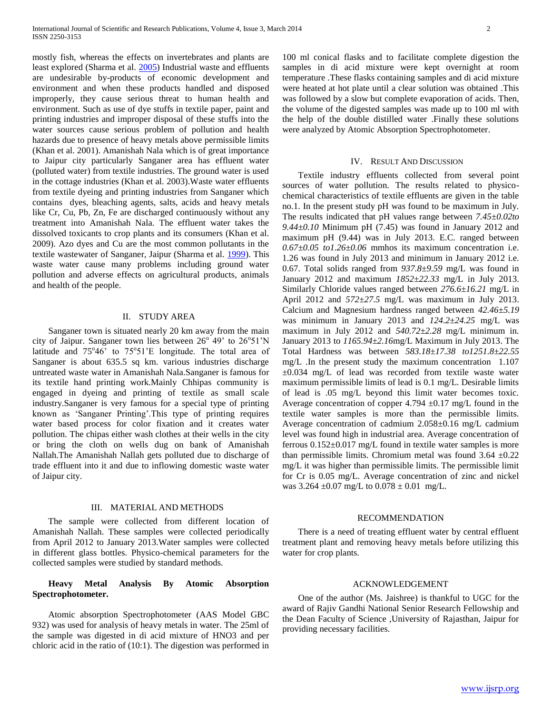mostly fish, whereas the effects on invertebrates and plants are least explored (Sharma et al. [2005\)](http://www.tandfonline.com/doi/full/10.1080/02772240802010987#CIT0024) Industrial waste and effluents are undesirable by-products of economic development and environment and when these products handled and disposed improperly, they cause serious threat to human health and environment. Such as use of dye stuffs in textile paper, paint and printing industries and improper disposal of these stuffs into the water sources cause serious problem of pollution and health hazards due to presence of heavy metals above permissible limits (Khan et al. 2001). Amanishah Nala which is of great importance to Jaipur city particularly Sanganer area has effluent water (polluted water) from textile industries. The ground water is used in the cottage industries (Khan et al. 2003).Waste water effluents from textile dyeing and printing industries from Sanganer which contains dyes, bleaching agents, salts, acids and heavy metals like Cr, Cu, Pb, Zn, Fe are discharged continuously without any treatment into Amanishah Nala. The effluent water takes the dissolved toxicants to crop plants and its consumers (Khan et al. 2009). Azo dyes and Cu are the most common pollutants in the textile wastewater of Sanganer, Jaipur (Sharma et al. [1999\)](http://www.tandfonline.com/doi/full/10.1080/02772240802010987#CIT0021). This waste water cause many problems including ground water pollution and adverse effects on agricultural products, animals and health of the people.

### II. STUDY AREA

Sanganer town is situated nearly 20 km away from the main city of Jaipur. Sanganer town lies between  $26^{\circ}$  49' to  $26^{\circ}51'N$ latitude and 75°46' to 75°51'E longitude. The total area of Sanganer is about 635.5 sq km. various industries discharge untreated waste water in Amanishah Nala.Sanganer is famous for its textile hand printing work.Mainly Chhipas community is engaged in dyeing and printing of textile as small scale industry.Sanganer is very famous for a special type of printing known as 'Sanganer Printing'.This type of printing requires water based process for color fixation and it creates water pollution. The chipas either wash clothes at their wells in the city or bring the cloth on wells dug on bank of Amanishah Nallah.The Amanishah Nallah gets polluted due to discharge of trade effluent into it and due to inflowing domestic waste water of Jaipur city.

# III. MATERIAL AND METHODS

The sample were collected from different location of Amanishah Nallah. These samples were collected periodically from April 2012 to January 2013.Water samples were collected in different glass bottles. Physico-chemical parameters for the collected samples were studied by standard methods.

## **Heavy Metal Analysis By Atomic Absorption Spectrophotometer.**

Atomic absorption Spectrophotometer (AAS Model GBC 932) was used for analysis of heavy metals in water. The 25ml of the sample was digested in di acid mixture of HNO3 and per chloric acid in the ratio of (10:1). The digestion was performed in

100 ml conical flasks and to facilitate complete digestion the samples in di acid mixture were kept overnight at room temperature .These flasks containing samples and di acid mixture were heated at hot plate until a clear solution was obtained .This was followed by a slow but complete evaporation of acids. Then, the volume of the digested samples was made up to 100 ml with the help of the double distilled water .Finally these solutions were analyzed by Atomic Absorption Spectrophotometer.

#### IV. RESULT AND DISCUSSION

Textile industry effluents collected from several point sources of water pollution. The results related to physicochemical characteristics of textile effluents are given in the table no.1. In the present study pH was found to be maximum in July. The results indicated that pH values range between *7.45±0.02to 9.44±0.10* Minimum pH (7.45) was found in January 2012 and maximum pH (9.44) was in July 2013. E.C. ranged between *0.67±0.05 to1.26±0.06* mmhos its maximum concentration i.e. 1.26 was found in July 2013 and minimum in January 2012 i.e. 0.67. Total solids ranged from *937.8±9.59* mg/L was found in January 2012 and maximum *1852±22.33* mg/L in July 2013. Similarly Chloride values ranged between *276.6±16.21* mg/L in April 2012 and *572±27.5* mg/L was maximum in July 2013. Calcium and Magnesium hardness ranged between *42.46±5.19* was minimum in January 2013 and *124.2±24.25* mg/L was maximum in July 2012 and *540.72±2.28* mg/L minimum in. January 2013 to *1165.94±2.16*mg/L Maximum in July 2013. The Total Hardness was between *583.18±17.38 to1251.8±22.55*  mg/L .In the present study the maximum concentration 1.107 ±0.034 mg/L of lead was recorded from textile waste water maximum permissible limits of lead is 0.1 mg/L. Desirable limits of lead is .05 mg/L beyond this limit water becomes toxic. Average concentration of copper 4.794  $\pm$ 0.17 mg/L found in the textile water samples is more than the permissible limits. Average concentration of cadmium 2.058±0.16 mg/L cadmium level was found high in industrial area. Average concentration of ferrous 0.152±0.017 mg/L found in textile water samples is more than permissible limits. Chromium metal was found  $3.64 \pm 0.22$ mg/L it was higher than permissible limits. The permissible limit for Cr is 0.05 mg/L. Average concentration of zinc and nickel was  $3.264 \pm 0.07$  mg/L to  $0.078 \pm 0.01$  mg/L.

#### RECOMMENDATION

There is a need of treating effluent water by central effluent treatment plant and removing heavy metals before utilizing this water for crop plants.

#### ACKNOWLEDGEMENT

One of the author (Ms. Jaishree) is thankful to UGC for the award of Rajiv Gandhi National Senior Research Fellowship and the Dean Faculty of Science ,University of Rajasthan, Jaipur for providing necessary facilities.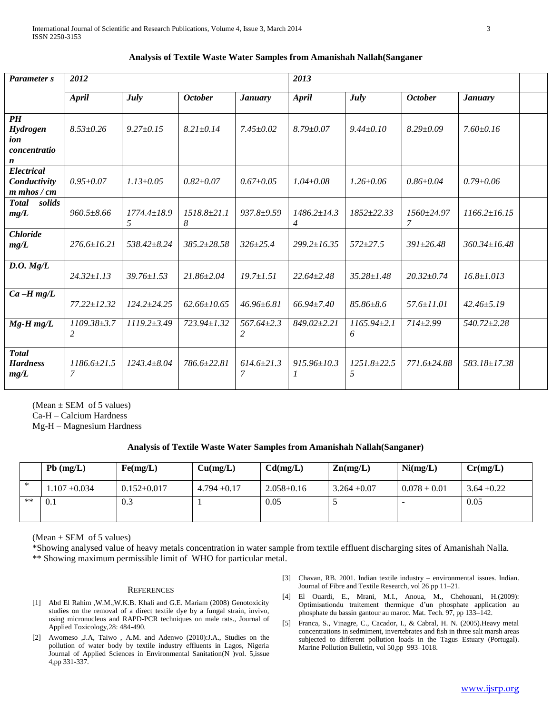| <b>Parameter</b> s                            | 2012                                              |                        |                        |                                        | 2013                   |                        |                   |                    |  |
|-----------------------------------------------|---------------------------------------------------|------------------------|------------------------|----------------------------------------|------------------------|------------------------|-------------------|--------------------|--|
|                                               | April<br>July<br><b>October</b><br><b>January</b> |                        |                        | <b>April</b><br>July<br><b>October</b> |                        |                        | <b>January</b>    |                    |  |
|                                               |                                                   |                        |                        |                                        |                        |                        |                   |                    |  |
| $\boldsymbol{P}$ $\boldsymbol{H}$<br>Hydrogen | $8.53 \pm 0.26$                                   | $9.27+0.15$            | $8.21 \pm 0.14$        | $7.45 + 0.02$                          | $8.79 + 0.07$          | $9.44 \pm 0.10$        | $8.29 \pm 0.09$   | $7.60+0.16$        |  |
| ion                                           |                                                   |                        |                        |                                        |                        |                        |                   |                    |  |
| concentratio                                  |                                                   |                        |                        |                                        |                        |                        |                   |                    |  |
| $\boldsymbol{n}$                              |                                                   |                        |                        |                                        |                        |                        |                   |                    |  |
| Electrical<br>Conductivity<br>$m$ mhos $/cm$  | $0.95 \pm 0.07$                                   | $1.13 \pm 0.05$        | $0.82 + 0.07$          | $0.67 + 0.05$                          | $1.04 \pm 0.08$        | $1.26 \pm 0.06$        | $0.86 \pm 0.04$   | $0.79 \pm 0.06$    |  |
| <b>Total</b><br>solids<br>mg/L                | $960.5 \pm 8.66$                                  | $1774.4 \pm 18.9$<br>5 | $1518.8 \pm 21.1$<br>8 | $937.8 \pm 9.59$                       | $1486.2 \pm 14.3$<br>4 | 1852±22.33             | $1560+24.97$<br>7 | $1166.2 \pm 16.15$ |  |
| <b>Chloride</b><br>mg/L                       | $276.6 \pm 16.21$                                 | 538.42±8.24            | $385.2 \pm 28.58$      | $326 \pm 25.4$                         | $299.2 \pm 16.35$      | $572 + 27.5$           | $391 \pm 26.48$   | $360.34 \pm 16.48$ |  |
| D.O. Mg/L                                     | $24.32 \pm 1.13$                                  | $39.76 \pm 1.53$       | $21.86 \pm 2.04$       | $19.7 \pm 1.51$                        | $22.64 \pm 2.48$       | $35.28 \pm 1.48$       | $20.32 \pm 0.74$  | $16.8 \pm 1.013$   |  |
| $Ca-Hmg/L$                                    | 77.22±12.32                                       | $124.2 \pm 24.25$      | $62.66 \pm 10.65$      | $46.96 \pm 6.81$                       | $66.94 \pm 7.40$       | $85.86 \pm 8.6$        | $57.6 \pm 11.01$  | $42.46 \pm 5.19$   |  |
| $Mg$ -H $mg/L$                                | $1109.38 \pm 3.7$<br>2                            | $1119.2 \pm 3.49$      | 723.94±1.32            | $567.64 \pm 2.3$<br>$\overline{2}$     | 849.02±2.21            | $1165.94 \pm 2.1$<br>6 | $714 \pm 2.99$    | $540.72 \pm 2.28$  |  |
| <b>Total</b><br><b>Hardness</b><br>mg/L       | $1186.6 \pm 21.5$<br>7                            | $1243.4 + 8.04$        | 786.6+22.81            | $614.6 \pm 21.3$<br>$\overline{7}$     | $915.96 \pm 10.3$      | $1251.8 \pm 22.5$<br>5 | 771.6+24.88       | 583.18±17.38       |  |

#### **Analysis of Textile Waste Water Samples from Amanishah Nallah(Sanganer**

(Mean  $\pm$  SEM of 5 values)

Ca-H – Calcium Hardness

Mg-H – Magnesium Hardness

# **Analysis of Textile Waste Water Samples from Amanishah Nallah(Sanganer)**

|      | $Pb$ (mg/L)       | Fe(mg/L)          | Cu(mg/L)         | Cd(mg/L)         | $\mathbf{Zn}(mg/L)$ | Ni(mg/L)         | Cr(mg/L)        |
|------|-------------------|-------------------|------------------|------------------|---------------------|------------------|-----------------|
| ∗    | $1.107 \pm 0.034$ | $0.152 \pm 0.017$ | $4.794 \pm 0.17$ | $2.058 \pm 0.16$ | $3.264 \pm 0.07$    | $0.078 \pm 0.01$ | $3.64 \pm 0.22$ |
| $**$ | 0.1               | 0.3               |                  | 0.05             |                     | -                | 0.05            |

(Mean  $\pm$  SEM of 5 values)

\*Showing analysed value of heavy metals concentration in water sample from textile effluent discharging sites of Amanishah Nalla. \*\* Showing maximum permissible limit of WHO for particular metal.

#### **REFERENCES**

- [1] Abd El Rahim ,W.M.,W.K.B. Khali and G.E. Mariam (2008) Genotoxicity studies on the removal of a direct textile dye by a fungal strain, invivo, using micronucleus and RAPD-PCR techniques on male rats., Journal of Applied Toxicology,28: 484-490.
- [2] Awomeso ,J.A, Taiwo , A.M. and Adenwo (2010):J.A., Studies on the pollution of water body by textile industry effluents in Lagos, Nigeria Journal of Applied Sciences in Environmental Sanitation(N )vol. 5,issue 4,pp 331-337.
- [3] Chavan, RB. 2001. Indian textile industry environmental issues. Indian. Journal of Fibre and Textile Research, vol 26 pp 11–21.
- [4] El Ouardi, E., Mrani, M.I., Anoua, M., Chehouani, H.(2009): Optimisationdu traitement thermique d'un phosphate application au phosphate du bassin gantour au maroc. Mat. Tech. 97, pp 133–142.
- [5] Franca, S., Vinagre, C., Cacador, I., & Cabral, H. N. (2005).Heavy metal concentrations in sedmiment, invertebrates and fish in three salt marsh areas subjected to different pollution loads in the Tagus Estuary (Portugal). Marine Pollution Bulletin, vol 50,pp 993–1018.